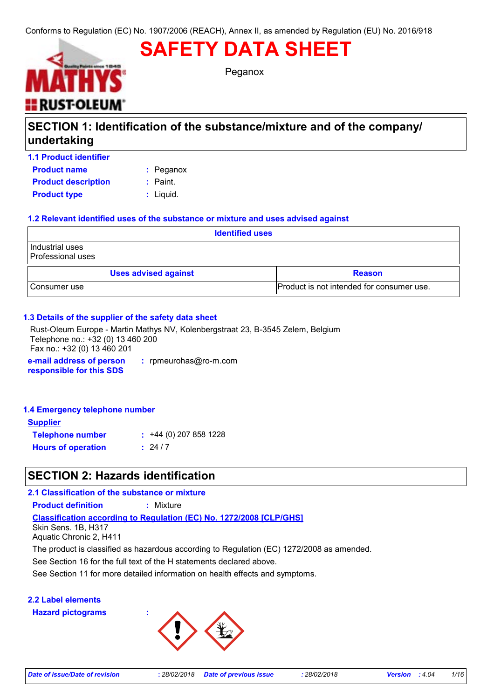# **SAFETY DATA SHEET**



Peganox

## **SECTION 1: Identification of the substance/mixture and of the company/ undertaking**

| <b>1.1 Product identifier</b> |            |
|-------------------------------|------------|
| <b>Product name</b>           | : Peganox  |
| <b>Product description</b>    | $:$ Paint. |
| <b>Product type</b>           | : Liguid.  |

#### **1.2 Relevant identified uses of the substance or mixture and uses advised against**

| <b>Identified uses</b>               |                                           |  |
|--------------------------------------|-------------------------------------------|--|
| Industrial uses<br>Professional uses |                                           |  |
| <b>Uses advised against</b>          | <b>Reason</b>                             |  |
| l Consumer use                       | Product is not intended for consumer use. |  |

#### **1.3 Details of the supplier of the safety data sheet**

**e-mail address of person responsible for this SDS :** rpmeurohas@ro-m.com Rust-Oleum Europe - Martin Mathys NV, Kolenbergstraat 23, B-3545 Zelem, Belgium Telephone no.: +32 (0) 13 460 200 Fax no.: +32 (0) 13 460 201

#### **1.4 Emergency telephone number**

| Supplier                  |                         |
|---------------------------|-------------------------|
| <b>Telephone number</b>   | $: +44(0)$ 207 858 1228 |
| <b>Hours of operation</b> | : 24/7                  |

### **SECTION 2: Hazards identification**

**Classification according to Regulation (EC) No. 1272/2008 [CLP/GHS] 2.1 Classification of the substance or mixture Product definition :** Mixture Skin Sens. 1B, H317 Aquatic Chronic 2, H411 The product is classified as hazardous according to Regulation (EC) 1272/2008 as amended.

See Section 16 for the full text of the H statements declared above.

See Section 11 for more detailed information on health effects and symptoms.

#### **2.2 Label elements Hazard pictograms :**

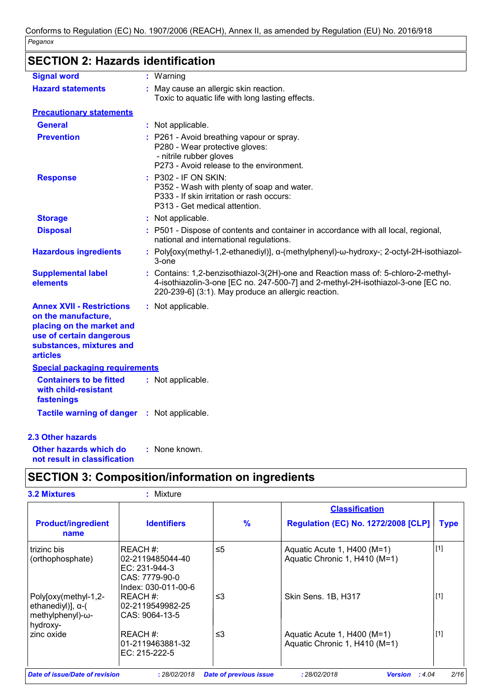## **SECTION 2: Hazards identification**

| <b>Signal word</b>                                                                                                                                              | : Warning                                                                                                                                                                                                                  |
|-----------------------------------------------------------------------------------------------------------------------------------------------------------------|----------------------------------------------------------------------------------------------------------------------------------------------------------------------------------------------------------------------------|
| <b>Hazard statements</b>                                                                                                                                        | : May cause an allergic skin reaction.<br>Toxic to aquatic life with long lasting effects.                                                                                                                                 |
| <b>Precautionary statements</b>                                                                                                                                 |                                                                                                                                                                                                                            |
| <b>General</b>                                                                                                                                                  | : Not applicable.                                                                                                                                                                                                          |
| <b>Prevention</b>                                                                                                                                               | : P261 - Avoid breathing vapour or spray.<br>P280 - Wear protective gloves:<br>- nitrile rubber gloves<br>P273 - Avoid release to the environment.                                                                         |
| <b>Response</b>                                                                                                                                                 | : P302 - IF ON SKIN:<br>P352 - Wash with plenty of soap and water.<br>P333 - If skin irritation or rash occurs:<br>P313 - Get medical attention.                                                                           |
| <b>Storage</b>                                                                                                                                                  | : Not applicable.                                                                                                                                                                                                          |
| <b>Disposal</b>                                                                                                                                                 | : P501 - Dispose of contents and container in accordance with all local, regional,<br>national and international regulations.                                                                                              |
| <b>Hazardous ingredients</b>                                                                                                                                    | : Poly[oxy(methyl-1,2-ethanediyl)], a-(methylphenyl)-w-hydroxy-; 2-octyl-2H-isothiazol-<br>3-one                                                                                                                           |
| <b>Supplemental label</b><br>elements                                                                                                                           | Contains: 1,2-benzisothiazol-3(2H)-one and Reaction mass of: 5-chloro-2-methyl-<br>4-isothiazolin-3-one [EC no. 247-500-7] and 2-methyl-2H-isothiazol-3-one [EC no.<br>220-239-6] (3:1). May produce an allergic reaction. |
| <b>Annex XVII - Restrictions</b><br>on the manufacture,<br>placing on the market and<br>use of certain dangerous<br>substances, mixtures and<br><b>articles</b> | : Not applicable.                                                                                                                                                                                                          |
| <b>Special packaging requirements</b>                                                                                                                           |                                                                                                                                                                                                                            |
| <b>Containers to be fitted</b><br>with child-resistant<br>fastenings                                                                                            | : Not applicable.                                                                                                                                                                                                          |
| <b>Tactile warning of danger</b>                                                                                                                                | : Not applicable.                                                                                                                                                                                                          |
| <b>2.3 Other hazards</b>                                                                                                                                        |                                                                                                                                                                                                                            |

**Other hazards which do : not result in classification** : None known.

## **SECTION 3: Composition/information on ingredients**

|                                                                                   |                                                                                            |               | <b>Classification</b>                                        |             |  |
|-----------------------------------------------------------------------------------|--------------------------------------------------------------------------------------------|---------------|--------------------------------------------------------------|-------------|--|
| <b>Product/ingredient</b><br>name                                                 | <b>Identifiers</b>                                                                         | $\frac{9}{6}$ | <b>Regulation (EC) No. 1272/2008 [CLP]</b>                   | <b>Type</b> |  |
| trizinc bis<br>(orthophosphate)                                                   | IREACH #:<br>l02-2119485044-40<br>IEC: 231-944-3<br>CAS: 7779-90-0<br>lIndex: 030-011-00-6 | $\leq 5$      | Aquatic Acute 1, H400 (M=1)<br>Aquatic Chronic 1, H410 (M=1) | $[1]$       |  |
| Poly[oxy(methyl-1,2-<br>ethanediyl)], $\alpha$ -(<br>methylphenyl)-ω-<br>hydroxy- | IREACH #:<br>l02-2119549982-25<br>ICAS: 9064-13-5                                          | ≤3            | Skin Sens. 1B, H317                                          | $[1]$       |  |
| zinc oxide                                                                        | IREACH #:<br>l01-2119463881-32<br>IEC: 215-222-5                                           | ≤3            | Aquatic Acute 1, H400 (M=1)<br>Aquatic Chronic 1, H410 (M=1) | $[1]$       |  |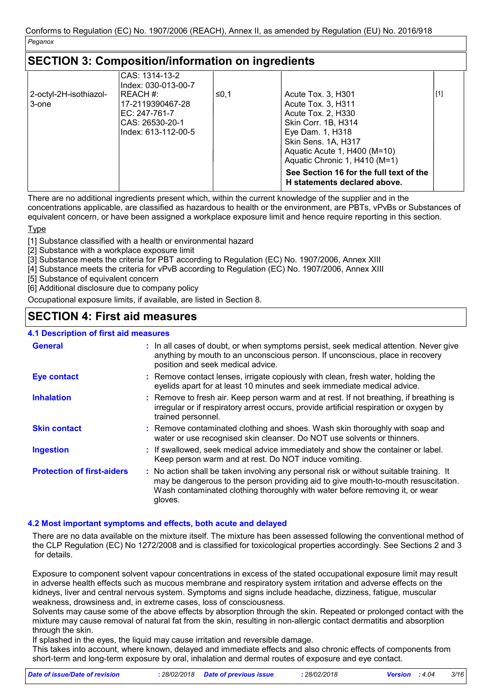### **SECTION 3: Composition/information on ingredients**

| 2-octyl-2H-isothiazol-<br>3-one | CAS: 1314-13-2<br>Index: 030-013-00-7<br>IREACH #:<br>17-2119390467-28<br>EC: 247-761-7<br>CAS: 26530-20-1<br>Index: 613-112-00-5 | ≤0,1 | Acute Tox. 3, H301<br>Acute Tox. 3, H311<br>Acute Tox. 2, H330<br>Skin Corr. 1B, H314<br>Eye Dam. 1, H318<br>Skin Sens. 1A, H317<br>Aquatic Acute 1, H400 (M=10)<br>Aquatic Chronic 1, H410 (M=1)<br>See Section 16 for the full text of the<br>H statements declared above. | [1] |
|---------------------------------|-----------------------------------------------------------------------------------------------------------------------------------|------|------------------------------------------------------------------------------------------------------------------------------------------------------------------------------------------------------------------------------------------------------------------------------|-----|
|---------------------------------|-----------------------------------------------------------------------------------------------------------------------------------|------|------------------------------------------------------------------------------------------------------------------------------------------------------------------------------------------------------------------------------------------------------------------------------|-----|

There are no additional ingredients present which, within the current knowledge of the supplier and in the

concentrations applicable, are classified as hazardous to health or the environment, are PBTs, vPvBs or Substances of equivalent concern, or have been assigned a workplace exposure limit and hence require reporting in this section.

Type

[1] Substance classified with a health or environmental hazard

[2] Substance with a workplace exposure limit

[3] Substance meets the criteria for PBT according to Regulation (EC) No. 1907/2006, Annex XIII

[4] Substance meets the criteria for vPvB according to Regulation (EC) No. 1907/2006, Annex XIII

[5] Substance of equivalent concern

[6] Additional disclosure due to company policy

Occupational exposure limits, if available, are listed in Section 8.

### **SECTION 4: First aid measures**

#### **4.1 Description of first aid measures**

| <b>. Lescription of illst ald illeasures</b> |                                                                                                                                                                                                                                                                          |
|----------------------------------------------|--------------------------------------------------------------------------------------------------------------------------------------------------------------------------------------------------------------------------------------------------------------------------|
| <b>General</b>                               | : In all cases of doubt, or when symptoms persist, seek medical attention. Never give<br>anything by mouth to an unconscious person. If unconscious, place in recovery<br>position and seek medical advice.                                                              |
| <b>Eye contact</b>                           | : Remove contact lenses, irrigate copiously with clean, fresh water, holding the<br>eyelids apart for at least 10 minutes and seek immediate medical advice.                                                                                                             |
| <b>Inhalation</b>                            | : Remove to fresh air. Keep person warm and at rest. If not breathing, if breathing is<br>irregular or if respiratory arrest occurs, provide artificial respiration or oxygen by<br>trained personnel.                                                                   |
| <b>Skin contact</b>                          | : Remove contaminated clothing and shoes. Wash skin thoroughly with soap and<br>water or use recognised skin cleanser. Do NOT use solvents or thinners.                                                                                                                  |
| <b>Ingestion</b>                             | : If swallowed, seek medical advice immediately and show the container or label.<br>Keep person warm and at rest. Do NOT induce vomiting.                                                                                                                                |
| <b>Protection of first-aiders</b>            | : No action shall be taken involving any personal risk or without suitable training. It<br>may be dangerous to the person providing aid to give mouth-to-mouth resuscitation.<br>Wash contaminated clothing thoroughly with water before removing it, or wear<br>gloves. |

#### **4.2 Most important symptoms and effects, both acute and delayed**

There are no data available on the mixture itself. The mixture has been assessed following the conventional method of the CLP Regulation (EC) No 1272/2008 and is classified for toxicological properties accordingly. See Sections 2 and 3 for details.

Exposure to component solvent vapour concentrations in excess of the stated occupational exposure limit may result in adverse health effects such as mucous membrane and respiratory system irritation and adverse effects on the kidneys, liver and central nervous system. Symptoms and signs include headache, dizziness, fatigue, muscular weakness, drowsiness and, in extreme cases, loss of consciousness.

Solvents may cause some of the above effects by absorption through the skin. Repeated or prolonged contact with the mixture may cause removal of natural fat from the skin, resulting in non-allergic contact dermatitis and absorption through the skin.

If splashed in the eyes, the liquid may cause irritation and reversible damage.

This takes into account, where known, delayed and immediate effects and also chronic effects of components from short-term and long-term exposure by oral, inhalation and dermal routes of exposure and eye contact.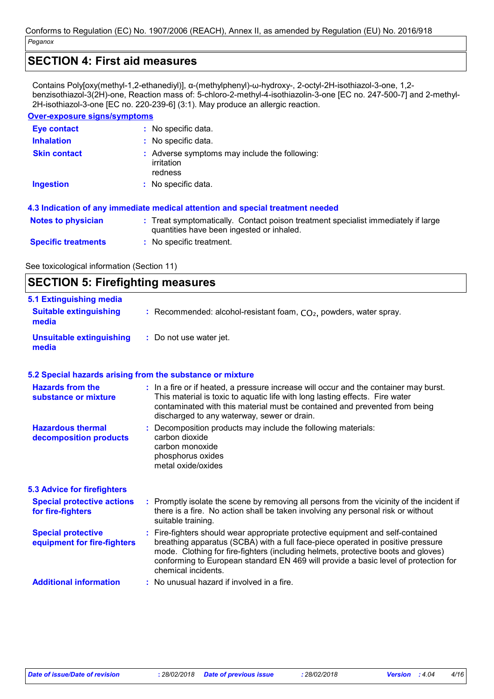### **SECTION 4: First aid measures**

Contains Poly[oxy(methyl-1,2-ethanediyl)], α-(methylphenyl)-ω-hydroxy-, 2-octyl-2H-isothiazol-3-one, 1,2 benzisothiazol-3(2H)-one, Reaction mass of: 5-chloro-2-methyl-4-isothiazolin-3-one [EC no. 247-500-7] and 2-methyl-2H-isothiazol-3-one [EC no. 220-239-6] (3:1). May produce an allergic reaction.

### **Over-exposure signs/symptoms**

| Eye contact                | : No specific data.                                                                                                            |
|----------------------------|--------------------------------------------------------------------------------------------------------------------------------|
| <b>Inhalation</b>          | : No specific data.                                                                                                            |
| <b>Skin contact</b>        | : Adverse symptoms may include the following:<br>irritation<br>redness                                                         |
| <b>Ingestion</b>           | : No specific data.                                                                                                            |
|                            | 4.3 Indication of any immediate medical attention and special treatment needed                                                 |
| <b>Notes to physician</b>  | : Treat symptomatically. Contact poison treatment specialist immediately if large<br>quantities have been ingested or inhaled. |
| <b>Specific treatments</b> | $:$ No specific treatment.                                                                                                     |

See toxicological information (Section 11)

| <b>SECTION 5: Firefighting measures</b>                  |                                                                                                                                                                                                                                                                                                                                                                       |  |
|----------------------------------------------------------|-----------------------------------------------------------------------------------------------------------------------------------------------------------------------------------------------------------------------------------------------------------------------------------------------------------------------------------------------------------------------|--|
| 5.1 Extinguishing media                                  |                                                                                                                                                                                                                                                                                                                                                                       |  |
| <b>Suitable extinguishing</b><br>media                   | : Recommended: alcohol-resistant foam, $CO2$ , powders, water spray.                                                                                                                                                                                                                                                                                                  |  |
| <b>Unsuitable extinguishing</b><br>media                 | : Do not use water jet.                                                                                                                                                                                                                                                                                                                                               |  |
|                                                          | 5.2 Special hazards arising from the substance or mixture                                                                                                                                                                                                                                                                                                             |  |
| <b>Hazards from the</b><br>substance or mixture          | : In a fire or if heated, a pressure increase will occur and the container may burst.<br>This material is toxic to aquatic life with long lasting effects. Fire water<br>contaminated with this material must be contained and prevented from being<br>discharged to any waterway, sewer or drain.                                                                    |  |
| <b>Hazardous thermal</b><br>decomposition products       | : Decomposition products may include the following materials:<br>carbon dioxide<br>carbon monoxide<br>phosphorus oxides<br>metal oxide/oxides                                                                                                                                                                                                                         |  |
| <b>5.3 Advice for firefighters</b>                       |                                                                                                                                                                                                                                                                                                                                                                       |  |
| <b>Special protective actions</b><br>for fire-fighters   | : Promptly isolate the scene by removing all persons from the vicinity of the incident if<br>there is a fire. No action shall be taken involving any personal risk or without<br>suitable training.                                                                                                                                                                   |  |
| <b>Special protective</b><br>equipment for fire-fighters | : Fire-fighters should wear appropriate protective equipment and self-contained<br>breathing apparatus (SCBA) with a full face-piece operated in positive pressure<br>mode. Clothing for fire-fighters (including helmets, protective boots and gloves)<br>conforming to European standard EN 469 will provide a basic level of protection for<br>chemical incidents. |  |
| <b>Additional information</b>                            | No unusual hazard if involved in a fire.                                                                                                                                                                                                                                                                                                                              |  |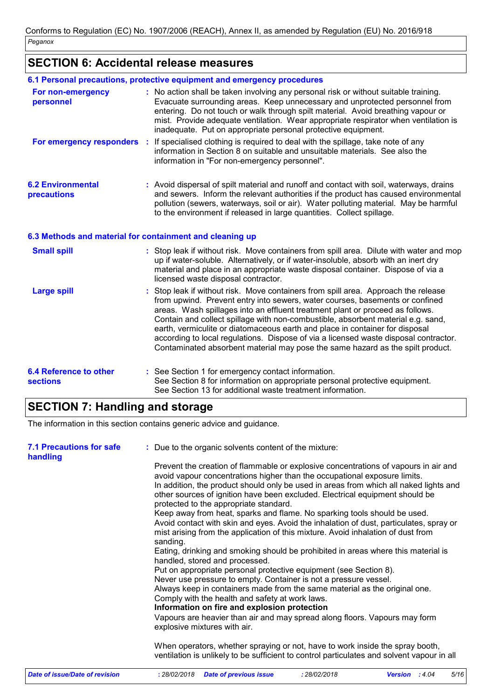## **SECTION 6: Accidental release measures**

|                                                  | 6.1 Personal precautions, protective equipment and emergency procedures                                                                                                                                                                                                                                                                                                                                                                                                                                                                                                                         |
|--------------------------------------------------|-------------------------------------------------------------------------------------------------------------------------------------------------------------------------------------------------------------------------------------------------------------------------------------------------------------------------------------------------------------------------------------------------------------------------------------------------------------------------------------------------------------------------------------------------------------------------------------------------|
| For non-emergency<br>personnel                   | : No action shall be taken involving any personal risk or without suitable training.<br>Evacuate surrounding areas. Keep unnecessary and unprotected personnel from<br>entering. Do not touch or walk through spilt material. Avoid breathing vapour or<br>mist. Provide adequate ventilation. Wear appropriate respirator when ventilation is<br>inadequate. Put on appropriate personal protective equipment.                                                                                                                                                                                 |
|                                                  | For emergency responders : If specialised clothing is required to deal with the spillage, take note of any<br>information in Section 8 on suitable and unsuitable materials. See also the<br>information in "For non-emergency personnel".                                                                                                                                                                                                                                                                                                                                                      |
| <b>6.2 Environmental</b><br>precautions          | : Avoid dispersal of spilt material and runoff and contact with soil, waterways, drains<br>and sewers. Inform the relevant authorities if the product has caused environmental<br>pollution (sewers, waterways, soil or air). Water polluting material. May be harmful<br>to the environment if released in large quantities. Collect spillage.                                                                                                                                                                                                                                                 |
|                                                  | 6.3 Methods and material for containment and cleaning up                                                                                                                                                                                                                                                                                                                                                                                                                                                                                                                                        |
| <b>Small spill</b>                               | : Stop leak if without risk. Move containers from spill area. Dilute with water and mop<br>up if water-soluble. Alternatively, or if water-insoluble, absorb with an inert dry<br>material and place in an appropriate waste disposal container. Dispose of via a<br>licensed waste disposal contractor.                                                                                                                                                                                                                                                                                        |
| <b>Large spill</b>                               | Stop leak if without risk. Move containers from spill area. Approach the release<br>from upwind. Prevent entry into sewers, water courses, basements or confined<br>areas. Wash spillages into an effluent treatment plant or proceed as follows.<br>Contain and collect spillage with non-combustible, absorbent material e.g. sand,<br>earth, vermiculite or diatomaceous earth and place in container for disposal<br>according to local regulations. Dispose of via a licensed waste disposal contractor.<br>Contaminated absorbent material may pose the same hazard as the spilt product. |
| <b>6.4 Reference to other</b><br><b>sections</b> | : See Section 1 for emergency contact information.<br>See Section 8 for information on appropriate personal protective equipment.<br>See Section 13 for additional waste treatment information.                                                                                                                                                                                                                                                                                                                                                                                                 |

## **SECTION 7: Handling and storage**

The information in this section contains generic advice and guidance.

| <b>7.1 Precautions for safe</b><br>handling | : Due to the organic solvents content of the mixture:<br>Prevent the creation of flammable or explosive concentrations of vapours in air and<br>avoid vapour concentrations higher than the occupational exposure limits.<br>In addition, the product should only be used in areas from which all naked lights and<br>other sources of ignition have been excluded. Electrical equipment should be<br>protected to the appropriate standard.<br>Keep away from heat, sparks and flame. No sparking tools should be used.<br>Avoid contact with skin and eyes. Avoid the inhalation of dust, particulates, spray or<br>mist arising from the application of this mixture. Avoid inhalation of dust from<br>sanding.<br>Eating, drinking and smoking should be prohibited in areas where this material is<br>handled, stored and processed.<br>Put on appropriate personal protective equipment (see Section 8).<br>Never use pressure to empty. Container is not a pressure vessel.<br>Always keep in containers made from the same material as the original one.<br>Comply with the health and safety at work laws.<br>Information on fire and explosion protection<br>Vapours are heavier than air and may spread along floors. Vapours may form<br>explosive mixtures with air. |
|---------------------------------------------|-----------------------------------------------------------------------------------------------------------------------------------------------------------------------------------------------------------------------------------------------------------------------------------------------------------------------------------------------------------------------------------------------------------------------------------------------------------------------------------------------------------------------------------------------------------------------------------------------------------------------------------------------------------------------------------------------------------------------------------------------------------------------------------------------------------------------------------------------------------------------------------------------------------------------------------------------------------------------------------------------------------------------------------------------------------------------------------------------------------------------------------------------------------------------------------------------------------------------------------------------------------------------------------|
|                                             | When operators, whether spraying or not, have to work inside the spray booth,<br>ventilation is unlikely to be sufficient to control particulates and solvent vapour in all                                                                                                                                                                                                                                                                                                                                                                                                                                                                                                                                                                                                                                                                                                                                                                                                                                                                                                                                                                                                                                                                                                       |
| <b>Date of issue/Date of revision</b>       | 5/16<br><b>Date of previous issue</b><br>Version : 4.04<br>: 28/02/2018<br>: 28/02/2018                                                                                                                                                                                                                                                                                                                                                                                                                                                                                                                                                                                                                                                                                                                                                                                                                                                                                                                                                                                                                                                                                                                                                                                           |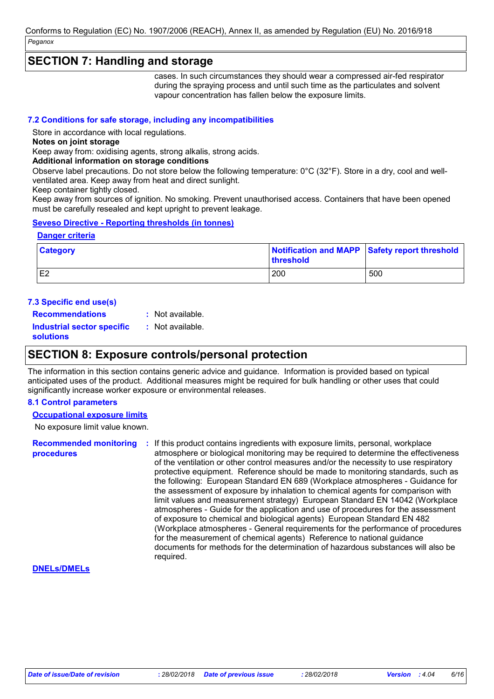### **SECTION 7: Handling and storage**

cases. In such circumstances they should wear a compressed air-fed respirator during the spraying process and until such time as the particulates and solvent vapour concentration has fallen below the exposure limits.

#### **7.2 Conditions for safe storage, including any incompatibilities**

Store in accordance with local regulations.

**Notes on joint storage**

Keep away from: oxidising agents, strong alkalis, strong acids.

#### **Additional information on storage conditions**

Observe label precautions. Do not store below the following temperature: 0°C (32°F). Store in a dry, cool and wellventilated area. Keep away from heat and direct sunlight.

Keep container tightly closed.

Keep away from sources of ignition. No smoking. Prevent unauthorised access. Containers that have been opened must be carefully resealed and kept upright to prevent leakage.

#### **Seveso Directive - Reporting thresholds (in tonnes)**

#### **Danger criteria**

| <b>Category</b> | Notification and MAPP Safety report threshold<br><b>threshold</b> |     |
|-----------------|-------------------------------------------------------------------|-----|
| E <sub>2</sub>  | 200                                                               | 500 |

#### **7.3 Specific end use(s)**

**Recommendations : Industrial sector specific : solutions** : Not available. : Not available.

### **SECTION 8: Exposure controls/personal protection**

The information in this section contains generic advice and guidance. Information is provided based on typical anticipated uses of the product. Additional measures might be required for bulk handling or other uses that could significantly increase worker exposure or environmental releases.

#### **8.1 Control parameters**

#### **Occupational exposure limits**

No exposure limit value known.

**Recommended monitoring procedures :** If this product contains ingredients with exposure limits, personal, workplace atmosphere or biological monitoring may be required to determine the effectiveness of the ventilation or other control measures and/or the necessity to use respiratory protective equipment. Reference should be made to monitoring standards, such as the following: European Standard EN 689 (Workplace atmospheres - Guidance for the assessment of exposure by inhalation to chemical agents for comparison with limit values and measurement strategy) European Standard EN 14042 (Workplace atmospheres - Guide for the application and use of procedures for the assessment of exposure to chemical and biological agents) European Standard EN 482 (Workplace atmospheres - General requirements for the performance of procedures for the measurement of chemical agents) Reference to national guidance documents for methods for the determination of hazardous substances will also be required.

#### **DNELs/DMELs**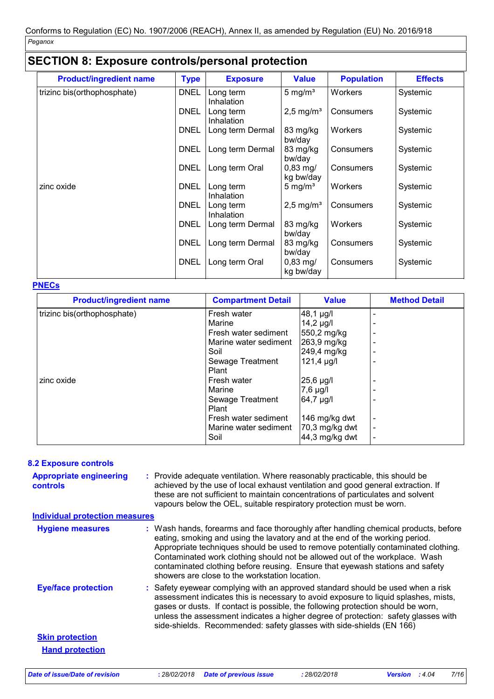### **SECTION 8: Exposure controls/personal protection**

| <b>Product/ingredient name</b> | <b>Type</b> | <b>Exposure</b>         | <b>Value</b>            | <b>Population</b> | <b>Effects</b> |
|--------------------------------|-------------|-------------------------|-------------------------|-------------------|----------------|
| trizinc bis(orthophosphate)    | <b>DNEL</b> | Long term<br>Inhalation | 5 mg/ $m3$              | Workers           | Systemic       |
|                                | <b>DNEL</b> | Long term<br>Inhalation | $2,5$ mg/m <sup>3</sup> | Consumers         | Systemic       |
|                                | <b>DNEL</b> | Long term Dermal        | 83 mg/kg<br>bw/day      | Workers           | Systemic       |
|                                | <b>DNEL</b> | Long term Dermal        | 83 mg/kg<br>bw/day      | Consumers         | Systemic       |
|                                | <b>DNEL</b> | Long term Oral          | $0,83$ mg/<br>kg bw/day | Consumers         | Systemic       |
| zinc oxide                     | <b>DNEL</b> | Long term<br>Inhalation | 5 mg/ $m3$              | Workers           | Systemic       |
|                                | <b>DNEL</b> | Long term<br>Inhalation | $2,5$ mg/m <sup>3</sup> | Consumers         | Systemic       |
|                                | <b>DNEL</b> | Long term Dermal        | 83 mg/kg<br>bw/day      | Workers           | Systemic       |
|                                | <b>DNEL</b> | Long term Dermal        | 83 mg/kg<br>bw/day      | Consumers         | Systemic       |
|                                | <b>DNEL</b> | Long term Oral          | $0,83$ mg/<br>kg bw/day | Consumers         | Systemic       |

#### **PNECs**

| <b>Product/ingredient name</b> | <b>Compartment Detail</b> | <b>Value</b>    | <b>Method Detail</b> |
|--------------------------------|---------------------------|-----------------|----------------------|
| trizinc bis(orthophosphate)    | Fresh water               | 48,1 µg/l       |                      |
|                                | Marine                    | $14,2 \mu$ g/l  |                      |
|                                | Fresh water sediment      | 550,2 mg/kg     |                      |
|                                | Marine water sediment     | 263,9 mg/kg     |                      |
|                                | Soil                      | 249,4 mg/kg     |                      |
|                                | Sewage Treatment          | $121,4 \mu g/l$ |                      |
|                                | Plant                     |                 |                      |
| zinc oxide                     | Fresh water               | $25,6$ µg/l     |                      |
|                                | Marine                    | $7,6$ µg/l      |                      |
|                                | Sewage Treatment          | 64,7 µg/l       |                      |
|                                | Plant                     |                 |                      |
|                                | Fresh water sediment      | 146 mg/kg dwt   |                      |
|                                | Marine water sediment     | 70,3 mg/kg dwt  |                      |
|                                | Soil                      | 44,3 mg/kg dwt  |                      |

#### **8.2 Exposure controls**

Provide adequate ventilation. Where reasonably practicable, this should be **:** achieved by the use of local exhaust ventilation and good general extraction. If these are not sufficient to maintain concentrations of particulates and solvent vapours below the OEL, suitable respiratory protection must be worn. **Appropriate engineering controls**

#### **Individual protection measures**

| <b>Hygiene measures</b>    | : Wash hands, forearms and face thoroughly after handling chemical products, before<br>eating, smoking and using the lavatory and at the end of the working period.<br>Appropriate techniques should be used to remove potentially contaminated clothing.<br>Contaminated work clothing should not be allowed out of the workplace. Wash<br>contaminated clothing before reusing. Ensure that eyewash stations and safety<br>showers are close to the workstation location. |
|----------------------------|-----------------------------------------------------------------------------------------------------------------------------------------------------------------------------------------------------------------------------------------------------------------------------------------------------------------------------------------------------------------------------------------------------------------------------------------------------------------------------|
| <b>Eye/face protection</b> | : Safety eyewear complying with an approved standard should be used when a risk<br>assessment indicates this is necessary to avoid exposure to liquid splashes, mists,<br>gases or dusts. If contact is possible, the following protection should be worn,<br>unless the assessment indicates a higher degree of protection: safety glasses with<br>side-shields. Recommended: safety glasses with side-shields (EN 166)                                                    |
| <b>Skin protection</b>     |                                                                                                                                                                                                                                                                                                                                                                                                                                                                             |
| <b>Hand protection</b>     |                                                                                                                                                                                                                                                                                                                                                                                                                                                                             |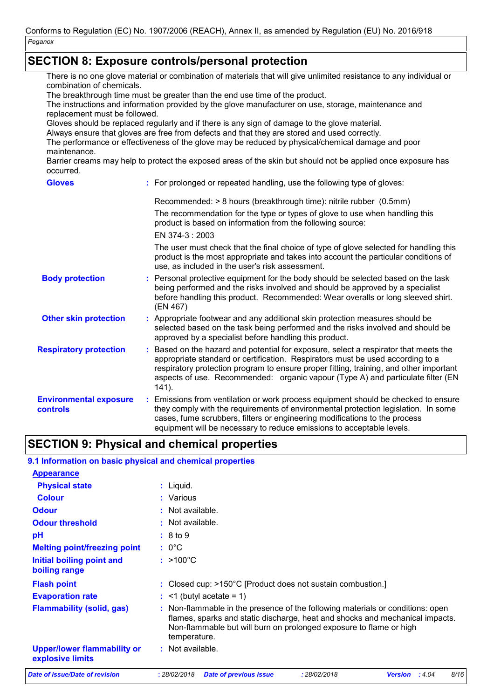## **SECTION 8: Exposure controls/personal protection**

| combination of chemicals.                                                                                                             |  | There is no one glove material or combination of materials that will give unlimited resistance to any individual or                                                                                                                                                                                                                                             |  |  |  |  |  |
|---------------------------------------------------------------------------------------------------------------------------------------|--|-----------------------------------------------------------------------------------------------------------------------------------------------------------------------------------------------------------------------------------------------------------------------------------------------------------------------------------------------------------------|--|--|--|--|--|
| The breakthrough time must be greater than the end use time of the product.                                                           |  |                                                                                                                                                                                                                                                                                                                                                                 |  |  |  |  |  |
| The instructions and information provided by the glove manufacturer on use, storage, maintenance and<br>replacement must be followed. |  |                                                                                                                                                                                                                                                                                                                                                                 |  |  |  |  |  |
| Gloves should be replaced regularly and if there is any sign of damage to the glove material.                                         |  |                                                                                                                                                                                                                                                                                                                                                                 |  |  |  |  |  |
| Always ensure that gloves are free from defects and that they are stored and used correctly.                                          |  |                                                                                                                                                                                                                                                                                                                                                                 |  |  |  |  |  |
| The performance or effectiveness of the glove may be reduced by physical/chemical damage and poor<br>maintenance.                     |  |                                                                                                                                                                                                                                                                                                                                                                 |  |  |  |  |  |
| occurred.                                                                                                                             |  | Barrier creams may help to protect the exposed areas of the skin but should not be applied once exposure has                                                                                                                                                                                                                                                    |  |  |  |  |  |
| <b>Gloves</b>                                                                                                                         |  | : For prolonged or repeated handling, use the following type of gloves:                                                                                                                                                                                                                                                                                         |  |  |  |  |  |
|                                                                                                                                       |  | Recommended: > 8 hours (breakthrough time): nitrile rubber (0.5mm)                                                                                                                                                                                                                                                                                              |  |  |  |  |  |
|                                                                                                                                       |  | The recommendation for the type or types of glove to use when handling this<br>product is based on information from the following source:                                                                                                                                                                                                                       |  |  |  |  |  |
|                                                                                                                                       |  | EN 374-3: 2003                                                                                                                                                                                                                                                                                                                                                  |  |  |  |  |  |
|                                                                                                                                       |  | The user must check that the final choice of type of glove selected for handling this<br>product is the most appropriate and takes into account the particular conditions of<br>use, as included in the user's risk assessment.                                                                                                                                 |  |  |  |  |  |
| <b>Body protection</b>                                                                                                                |  | : Personal protective equipment for the body should be selected based on the task<br>being performed and the risks involved and should be approved by a specialist<br>before handling this product. Recommended: Wear overalls or long sleeved shirt.<br>(EN 467)                                                                                               |  |  |  |  |  |
| <b>Other skin protection</b>                                                                                                          |  | : Appropriate footwear and any additional skin protection measures should be<br>selected based on the task being performed and the risks involved and should be<br>approved by a specialist before handling this product.                                                                                                                                       |  |  |  |  |  |
| <b>Respiratory protection</b>                                                                                                         |  | : Based on the hazard and potential for exposure, select a respirator that meets the<br>appropriate standard or certification. Respirators must be used according to a<br>respiratory protection program to ensure proper fitting, training, and other important<br>aspects of use. Recommended: organic vapour (Type A) and particulate filter (EN<br>$141$ ). |  |  |  |  |  |
| <b>Environmental exposure</b><br>controls                                                                                             |  | : Emissions from ventilation or work process equipment should be checked to ensure<br>they comply with the requirements of environmental protection legislation. In some<br>cases, fume scrubbers, filters or engineering modifications to the process<br>equipment will be necessary to reduce emissions to acceptable levels.                                 |  |  |  |  |  |

## **SECTION 9: Physical and chemical properties**

### **9.1 Information on basic physical and chemical properties**

| <b>Appearance</b>                                      |                                                                                                                                                                                                                                                          |
|--------------------------------------------------------|----------------------------------------------------------------------------------------------------------------------------------------------------------------------------------------------------------------------------------------------------------|
| <b>Physical state</b>                                  | : Liquid.                                                                                                                                                                                                                                                |
| <b>Colour</b>                                          | : Various                                                                                                                                                                                                                                                |
| <b>Odour</b>                                           | Not available.                                                                                                                                                                                                                                           |
| <b>Odour threshold</b>                                 | : Not available.                                                                                                                                                                                                                                         |
| pH                                                     | : 8 to 9                                                                                                                                                                                                                                                 |
| <b>Melting point/freezing point</b>                    | $: 0^{\circ}$ C                                                                                                                                                                                                                                          |
| Initial boiling point and<br>boiling range             | $: >100^{\circ}$ C                                                                                                                                                                                                                                       |
| <b>Flash point</b>                                     | $:$ Closed cup: $>150^{\circ}$ C [Product does not sustain combustion.]                                                                                                                                                                                  |
| <b>Evaporation rate</b>                                | $:$ <1 (butyl acetate = 1)                                                                                                                                                                                                                               |
| <b>Flammability (solid, gas)</b>                       | Non-flammable in the presence of the following materials or conditions: open<br>÷.<br>flames, sparks and static discharge, heat and shocks and mechanical impacts.<br>Non-flammable but will burn on prolonged exposure to flame or high<br>temperature. |
| <b>Upper/lower flammability or</b><br>explosive limits | $:$ Not available.                                                                                                                                                                                                                                       |
| Date of issue/Date of revision                         | : 28/02/2018<br>8/16<br><b>Date of previous issue</b><br>: 28/02/2018<br>:4.04<br><b>Version</b>                                                                                                                                                         |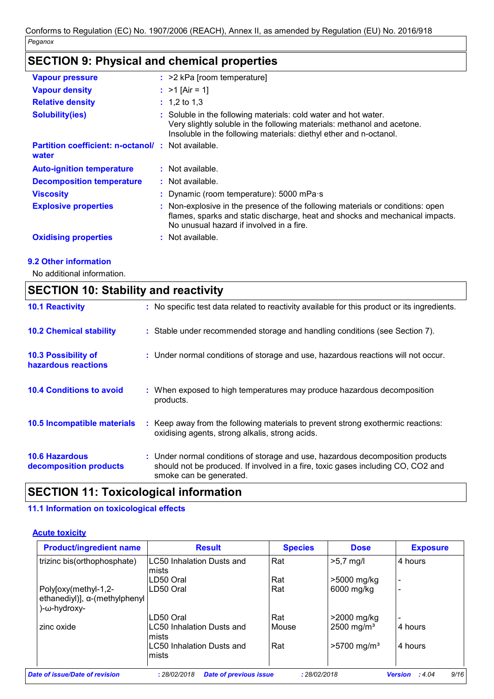## **SECTION 9: Physical and chemical properties**

| <b>Vapour pressure</b>                                            | $:$ >2 kPa [room temperature]                                                                                                                                                                                    |
|-------------------------------------------------------------------|------------------------------------------------------------------------------------------------------------------------------------------------------------------------------------------------------------------|
| <b>Vapour density</b>                                             | : $>1$ [Air = 1]                                                                                                                                                                                                 |
| <b>Relative density</b>                                           | $: 1,2$ to 1,3                                                                                                                                                                                                   |
| <b>Solubility(ies)</b>                                            | : Soluble in the following materials: cold water and hot water.<br>Very slightly soluble in the following materials: methanol and acetone.<br>Insoluble in the following materials: diethyl ether and n-octanol. |
| <b>Partition coefficient: n-octanol/: Not available.</b><br>water |                                                                                                                                                                                                                  |
| <b>Auto-ignition temperature</b>                                  | $:$ Not available.                                                                                                                                                                                               |
| <b>Decomposition temperature</b>                                  | $:$ Not available.                                                                                                                                                                                               |
| <b>Viscosity</b>                                                  | : Dynamic (room temperature): $5000$ mPa s                                                                                                                                                                       |
| <b>Explosive properties</b>                                       | : Non-explosive in the presence of the following materials or conditions: open<br>flames, sparks and static discharge, heat and shocks and mechanical impacts.<br>No unusual hazard if involved in a fire.       |
| <b>Oxidising properties</b>                                       | : Not available.                                                                                                                                                                                                 |

#### **9.2 Other information**

No additional information.

### **SECTION 10: Stability and reactivity**

| <b>10.1 Reactivity</b>                            | : No specific test data related to reactivity available for this product or its ingredients.                                                                                                  |
|---------------------------------------------------|-----------------------------------------------------------------------------------------------------------------------------------------------------------------------------------------------|
| <b>10.2 Chemical stability</b>                    | : Stable under recommended storage and handling conditions (see Section 7).                                                                                                                   |
| <b>10.3 Possibility of</b><br>hazardous reactions | : Under normal conditions of storage and use, hazardous reactions will not occur.                                                                                                             |
| <b>10.4 Conditions to avoid</b>                   | : When exposed to high temperatures may produce hazardous decomposition<br>products.                                                                                                          |
| 10.5 Incompatible materials                       | Keep away from the following materials to prevent strong exothermic reactions:<br>oxidising agents, strong alkalis, strong acids.                                                             |
| <b>10.6 Hazardous</b><br>decomposition products   | : Under normal conditions of storage and use, hazardous decomposition products<br>should not be produced. If involved in a fire, toxic gases including CO, CO2 and<br>smoke can be generated. |

### **SECTION 11: Toxicological information**

### **11.1 Information on toxicological effects**

#### **Acute toxicity**

| <b>Product/ingredient name</b> | <b>Result</b>                    | <b>Species</b> | <b>Dose</b>               | <b>Exposure</b> |
|--------------------------------|----------------------------------|----------------|---------------------------|-----------------|
| trizinc bis(orthophosphate)    | <b>LC50 Inhalation Dusts and</b> | Rat            | $>5.7$ mg/l               | 4 hours         |
|                                | mists                            |                |                           |                 |
|                                | LD50 Oral                        | Rat            | >5000 mg/kg               |                 |
| Poly[oxy(methyl-1,2-           | LD50 Oral                        | Rat            | 6000 mg/kg                |                 |
| ethanediyl)], a-(methylphenyl  |                                  |                |                           |                 |
| )-ω-hydroxy-                   |                                  |                |                           |                 |
|                                | LD50 Oral                        | Rat            | >2000 mg/kg               |                 |
| zinc oxide                     | <b>LC50 Inhalation Dusts and</b> | Mouse          | 2500 mg/m <sup>3</sup>    | 4 hours         |
|                                | mists                            |                |                           |                 |
|                                | <b>LC50 Inhalation Dusts and</b> | Rat            | $>5700$ mg/m <sup>3</sup> | 4 hours         |
|                                | mists                            |                |                           |                 |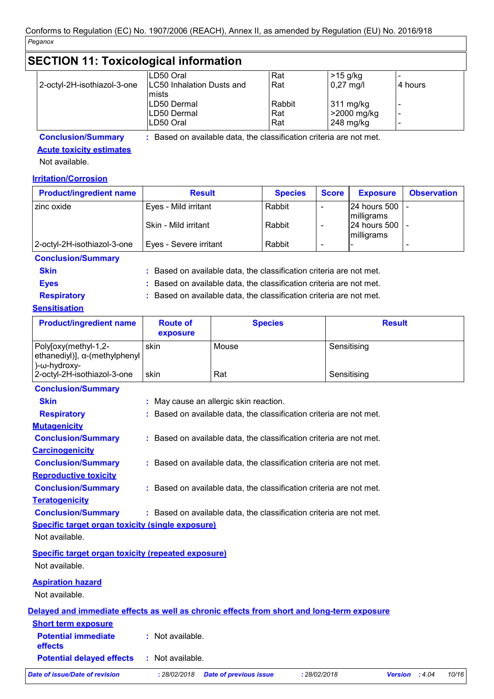| <b>SECTION 11: Toxicological information</b> |                                    |        |             |                          |  |
|----------------------------------------------|------------------------------------|--------|-------------|--------------------------|--|
|                                              | LD50 Oral                          | Rat    | $>15$ g/kg  |                          |  |
| 2-octyl-2H-isothiazol-3-one                  | LC50 Inhalation Dusts and<br>mists | Rat    | $0,27$ mg/l | 4 hours                  |  |
|                                              | LD50 Dermal                        | Rabbit | 311 mg/kg   | $\overline{\phantom{a}}$ |  |
|                                              | LD50 Dermal                        | Rat    | 2000 mg/kg  |                          |  |
|                                              | LD50 Oral                          | Rat    | $248$ mg/kg |                          |  |

**Conclusion/Summary :** Based on available data, the classification criteria are not met.

#### **Acute toxicity estimates**

Not available.

#### **Irritation/Corrosion**

| <b>Product/ingredient name</b> | <b>Result</b>          | <b>Species</b> | <b>Score</b> | <b>Exposure</b>                | <b>Observation</b>       |
|--------------------------------|------------------------|----------------|--------------|--------------------------------|--------------------------|
| l zinc oxide                   | Eyes - Mild irritant   | Rabbit         |              | 24 hours 500   -<br>milligrams |                          |
|                                | Skin - Mild irritant   | Rabbit         |              | 24 hours 500 -<br>milligrams   |                          |
| 2-octyl-2H-isothiazol-3-one    | Eyes - Severe irritant | Rabbit         |              |                                | $\overline{\phantom{a}}$ |

#### **Conclusion/Summary**

**Skin :** Based on available data, the classification criteria are not met.

**Eyes Exercise 2 EXECUTE:** Based on available data, the classification criteria are not met.

**Respiratory :** Based on available data, the classification criteria are not met.

#### **Sensitisation**

| <b>Product/ingredient name</b>                                                | <b>Route of</b><br>exposure | <b>Species</b> | <b>Result</b> |
|-------------------------------------------------------------------------------|-----------------------------|----------------|---------------|
| Polyloxy(methyl-1,2-<br>ethanediyl)], $\alpha$ -(methylphenyl<br>)-ω-hydroxy- | skin                        | Mouse          | Sensitising   |
| 2-octyl-2H-isothiazol-3-one                                                   | skin                        | Rat            | Sensitising   |
|                                                                               |                             |                |               |

| <b>Conclusion/Summary</b>                                 |                                                                                            |
|-----------------------------------------------------------|--------------------------------------------------------------------------------------------|
| <b>Skin</b>                                               | : May cause an allergic skin reaction.                                                     |
| <b>Respiratory</b>                                        | : Based on available data, the classification criteria are not met.                        |
| <b>Mutagenicity</b>                                       |                                                                                            |
| <b>Conclusion/Summary</b>                                 | : Based on available data, the classification criteria are not met.                        |
| <b>Carcinogenicity</b>                                    |                                                                                            |
| <b>Conclusion/Summary</b>                                 | : Based on available data, the classification criteria are not met.                        |
| <b>Reproductive toxicity</b>                              |                                                                                            |
| <b>Conclusion/Summary</b>                                 | : Based on available data, the classification criteria are not met.                        |
| <b>Teratogenicity</b>                                     |                                                                                            |
| <b>Conclusion/Summary</b>                                 | : Based on available data, the classification criteria are not met.                        |
| <b>Specific target organ toxicity (single exposure)</b>   |                                                                                            |
| Not available.                                            |                                                                                            |
| <b>Specific target organ toxicity (repeated exposure)</b> |                                                                                            |
| Not available.                                            |                                                                                            |
| <b>Aspiration hazard</b>                                  |                                                                                            |
| Not available.                                            |                                                                                            |
|                                                           | Delayed and immediate effects as well as chronic effects from short and long-term exposure |
| <b>Short term exposure</b>                                |                                                                                            |

**Potential immediate effects :** Not available.

**Potential delayed effects :** Not available.

*Date of issue/Date of revision* **:** *28/02/2018 Date of previous issue : 28/02/2018 Version : 4.04 10/16*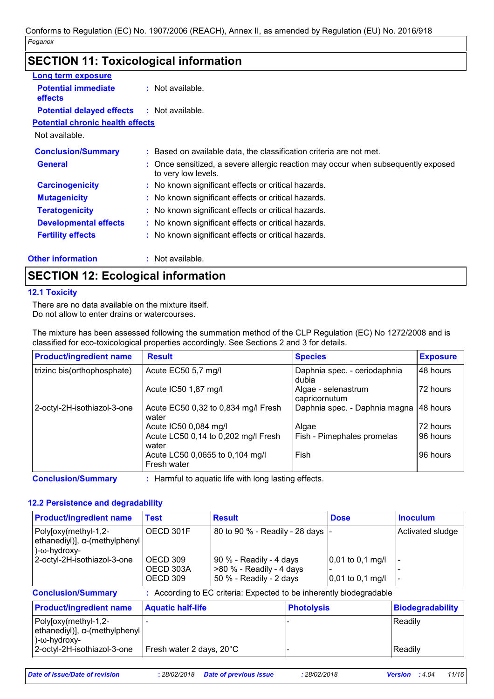## **SECTION 11: Toxicological information**

| <b>Long term exposure</b>                    |                                                                                                          |
|----------------------------------------------|----------------------------------------------------------------------------------------------------------|
| <b>Potential immediate</b><br><b>effects</b> | $:$ Not available.                                                                                       |
| <b>Potential delayed effects</b>             | : Not available.                                                                                         |
| <b>Potential chronic health effects</b>      |                                                                                                          |
| Not available.                               |                                                                                                          |
| <b>Conclusion/Summary</b>                    | : Based on available data, the classification criteria are not met.                                      |
| <b>General</b>                               | : Once sensitized, a severe allergic reaction may occur when subsequently exposed<br>to very low levels. |
| <b>Carcinogenicity</b>                       | : No known significant effects or critical hazards.                                                      |
| <b>Mutagenicity</b>                          | : No known significant effects or critical hazards.                                                      |
| <b>Teratogenicity</b>                        | : No known significant effects or critical hazards.                                                      |
| <b>Developmental effects</b>                 | : No known significant effects or critical hazards.                                                      |
| <b>Fertility effects</b>                     | : No known significant effects or critical hazards.                                                      |
| <b>Other information</b>                     | : Not available.                                                                                         |

## **SECTION 12: Ecological information**

#### **12.1 Toxicity**

There are no data available on the mixture itself. Do not allow to enter drains or watercourses.

The mixture has been assessed following the summation method of the CLP Regulation (EC) No 1272/2008 and is classified for eco-toxicological properties accordingly. See Sections 2 and 3 for details.

| <b>Product/ingredient name</b> | <b>Result</b>                                  | <b>Species</b>                        | <b>Exposure</b> |
|--------------------------------|------------------------------------------------|---------------------------------------|-----------------|
| trizinc bis(orthophosphate)    | Acute EC50 5,7 mg/l                            | Daphnia spec. - ceriodaphnia<br>dubia | 48 hours        |
|                                | Acute IC50 1,87 mg/l                           | Algae - selenastrum<br>capricornutum  | 72 hours        |
| 2-octyl-2H-isothiazol-3-one    | Acute EC50 0,32 to 0,834 mg/l Fresh<br>water   | Daphnia spec. - Daphnia magna         | 148 hours       |
|                                | Acute IC50 0,084 mg/l                          | Algae                                 | 72 hours        |
|                                | Acute LC50 0,14 to 0,202 mg/l Fresh<br>water   | Fish - Pimephales promelas            | 196 hours       |
|                                | Acute LC50 0,0655 to 0,104 mg/l<br>Fresh water | Fish                                  | 96 hours        |

**Conclusion/Summary :** Harmful to aquatic life with long lasting effects.

#### **12.2 Persistence and degradability**

| <b>Product/ingredient name</b>                                                | Test                              | <b>Result</b>                                                                  | <b>Dose</b>                              | <b>Inoculum</b>  |
|-------------------------------------------------------------------------------|-----------------------------------|--------------------------------------------------------------------------------|------------------------------------------|------------------|
| Poly[oxy(methyl-1,2-<br>ethanediyl)], α-(methylphenyl<br>$)-\omega$ -hydroxy- | OECD 301F                         | 80 to 90 % - Readily - 28 days  -                                              |                                          | Activated sludge |
| 2-octyl-2H-isothiazol-3-one                                                   | OECD 309<br>OECD 303A<br>OECD 309 | 90 % - Readily - 4 days<br>>80 % - Readily - 4 days<br>50 % - Readily - 2 days | $0,01$ to 0,1 mg/l<br>$0,01$ to 0,1 mg/l |                  |
| <b>Conclusion/Summary</b>                                                     |                                   | : According to EC criteria: Expected to be inherently biodegradable            |                                          |                  |

| <b>Product/ingredient name</b>        | <b>Aquatic half-life</b> | <b>Photolysis</b> | Biodegradability |
|---------------------------------------|--------------------------|-------------------|------------------|
| Poly[oxy(methyl-1,2-                  |                          |                   | l Readilv        |
| ethanediyl)], $\alpha$ -(methylphenyl |                          |                   |                  |
| )-ω-hydroxγ-                          |                          |                   |                  |
| 2-octyl-2H-isothiazol-3-one           | Fresh water 2 days, 20°C |                   | l Readilv        |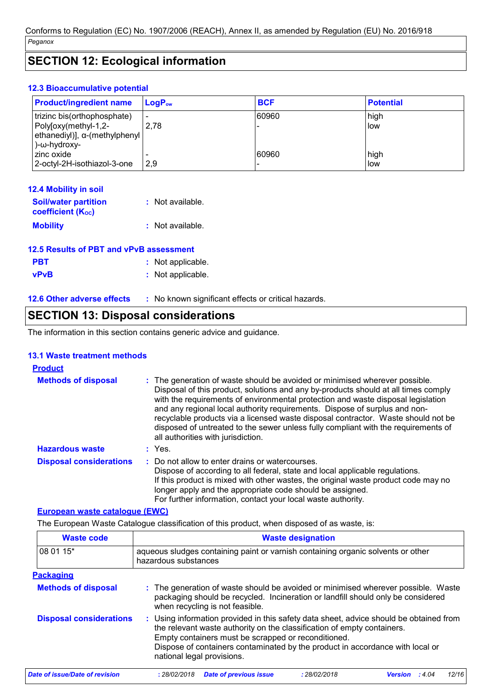### **SECTION 12: Ecological information**

#### **12.3 Bioaccumulative potential**

| <b>Product/ingredient name</b> | $\mathsf{LogP}_\mathsf{ow}$ | <b>BCF</b> | <b>Potential</b> |
|--------------------------------|-----------------------------|------------|------------------|
| trizinc bis(orthophosphate)    | $\overline{\phantom{0}}$    | 60960      | high             |
| -2, Poly[oxy(methyl-1,2        | 2,78                        |            | low              |
| ethanediyl)], α-(methylphenyl  |                             |            |                  |
| )-ω-hydroxy-                   |                             |            |                  |
| zinc oxide                     |                             | 60960      | high             |
| 2-octyl-2H-isothiazol-3-one    | l 2.9                       |            | low              |

| <b>12.4 Mobility in soil</b>                            |                  |
|---------------------------------------------------------|------------------|
| <b>Soil/water partition</b><br><b>coefficient (Koc)</b> | : Not available. |
| <b>Mobility</b>                                         | : Not available. |

| 12.5 Results of PBT and vPvB assessment |                   |  |
|-----------------------------------------|-------------------|--|
| <b>PBT</b>                              | : Not applicable. |  |
| <b>vPvB</b>                             | : Not applicable. |  |

| <b>12.6 Other adverse effects</b> | No known significant effects or critical hazards. |
|-----------------------------------|---------------------------------------------------|
|-----------------------------------|---------------------------------------------------|

### **SECTION 13: Disposal considerations**

The information in this section contains generic advice and guidance.

#### **13.1 Waste treatment methods**

#### **Hazardous waste :** Yes. **Methods of disposal : Product** : The generation of waste should be avoided or minimised wherever possible. Disposal of this product, solutions and any by-products should at all times comply with the requirements of environmental protection and waste disposal legislation and any regional local authority requirements. Dispose of surplus and nonrecyclable products via a licensed waste disposal contractor. Waste should not be disposed of untreated to the sewer unless fully compliant with the requirements of all authorities with jurisdiction. : Do not allow to enter drains or watercourses. Dispose of according to all federal, state and local applicable regulations. If this product is mixed with other wastes, the original waste product code may no longer apply and the appropriate code should be assigned. For further information, contact your local waste authority. **Disposal considerations :**

#### **European waste catalogue (EWC)**

The European Waste Catalogue classification of this product, when disposed of as waste, is:

| <b>Waste code</b>              | <b>Waste designation</b>                                                                                                                                                                                                                                                                                                                |  |  |  |
|--------------------------------|-----------------------------------------------------------------------------------------------------------------------------------------------------------------------------------------------------------------------------------------------------------------------------------------------------------------------------------------|--|--|--|
| 08 01 15*                      | aqueous sludges containing paint or varnish containing organic solvents or other<br>hazardous substances                                                                                                                                                                                                                                |  |  |  |
| <b>Packaging</b>               |                                                                                                                                                                                                                                                                                                                                         |  |  |  |
| <b>Methods of disposal</b>     | : The generation of waste should be avoided or minimised wherever possible. Waste<br>packaging should be recycled. Incineration or landfill should only be considered<br>when recycling is not feasible.                                                                                                                                |  |  |  |
| <b>Disposal considerations</b> | : Using information provided in this safety data sheet, advice should be obtained from<br>the relevant waste authority on the classification of empty containers.<br>Empty containers must be scrapped or reconditioned.<br>Dispose of containers contaminated by the product in accordance with local or<br>national legal provisions. |  |  |  |
| Date of issue/Date of revision | <b>Date of previous issue</b><br>: 28/02/2018<br>: 28/02/2018<br>12/16<br><b>Version</b><br>: 4.04                                                                                                                                                                                                                                      |  |  |  |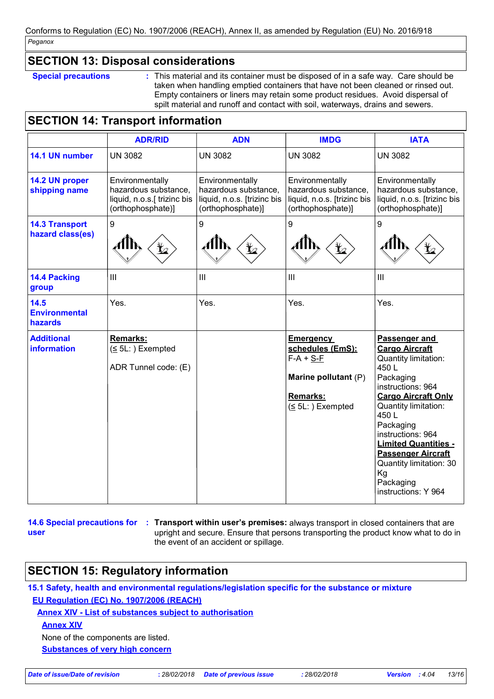### **SECTION 13: Disposal considerations**

**Special precautions :** This material and its container must be disposed of in a safe way. Care should be taken when handling emptied containers that have not been cleaned or rinsed out. Empty containers or liners may retain some product residues. Avoid dispersal of spilt material and runoff and contact with soil, waterways, drains and sewers.

## **SECTION 14: Transport information**

|                                           | <b>ADR/RID</b>                                                                              | <b>ADN</b>                                                                                  | <b>IMDG</b>                                                                                                               | <b>IATA</b>                                                                                                                                                                                                                                                                                                                               |
|-------------------------------------------|---------------------------------------------------------------------------------------------|---------------------------------------------------------------------------------------------|---------------------------------------------------------------------------------------------------------------------------|-------------------------------------------------------------------------------------------------------------------------------------------------------------------------------------------------------------------------------------------------------------------------------------------------------------------------------------------|
| 14.1 UN number                            | <b>UN 3082</b>                                                                              | <b>UN 3082</b>                                                                              | <b>UN 3082</b>                                                                                                            | <b>UN 3082</b>                                                                                                                                                                                                                                                                                                                            |
| 14.2 UN proper<br>shipping name           | Environmentally<br>hazardous substance,<br>liquid, n.o.s.[ trizinc bis<br>(orthophosphate)] | Environmentally<br>hazardous substance,<br>liquid, n.o.s. [trizinc bis<br>(orthophosphate)] | Environmentally<br>hazardous substance,<br>liquid, n.o.s. [trizinc bis<br>(orthophosphate)]                               | Environmentally<br>hazardous substance,<br>liquid, n.o.s. [trizinc bis<br>(orthophosphate)]                                                                                                                                                                                                                                               |
| <b>14.3 Transport</b><br>hazard class(es) | $\boldsymbol{9}$<br>L                                                                       | 9<br>$\bigstar$                                                                             | 9<br>$\bigstar$                                                                                                           | 9                                                                                                                                                                                                                                                                                                                                         |
| 14.4 Packing<br>group                     | $\mathbf{III}$                                                                              | $\mathbf{III}$                                                                              | $\mathbf{III}$                                                                                                            | III                                                                                                                                                                                                                                                                                                                                       |
| 14.5<br><b>Environmental</b><br>hazards   | Yes.                                                                                        | Yes.                                                                                        | Yes.                                                                                                                      | Yes.                                                                                                                                                                                                                                                                                                                                      |
| <b>Additional</b><br><b>information</b>   | Remarks:<br>$(5L:)$ Exempted<br>ADR Tunnel code: (E)                                        |                                                                                             | <b>Emergency</b><br>schedules (EmS):<br>$F-A + S-F$<br>Marine pollutant (P)<br><b>Remarks:</b><br>$( \leq 5L: )$ Exempted | Passenger and<br><b>Cargo Aircraft</b><br>Quantity limitation:<br>450L<br>Packaging<br>instructions: 964<br><b>Cargo Aircraft Only</b><br>Quantity limitation:<br>450L<br>Packaging<br>instructions: 964<br><b>Limited Quantities -</b><br><b>Passenger Aircraft</b><br>Quantity limitation: 30<br>Kg<br>Packaging<br>instructions: Y 964 |

**14.6 Special precautions for : Transport within user's premises:** always transport in closed containers that are **user** upright and secure. Ensure that persons transporting the product know what to do in the event of an accident or spillage.

### **SECTION 15: Regulatory information**

**15.1 Safety, health and environmental regulations/legislation specific for the substance or mixture EU Regulation (EC) No. 1907/2006 (REACH)**

**Annex XIV - List of substances subject to authorisation**

**Annex XIV**

None of the components are listed.

**Substances of very high concern**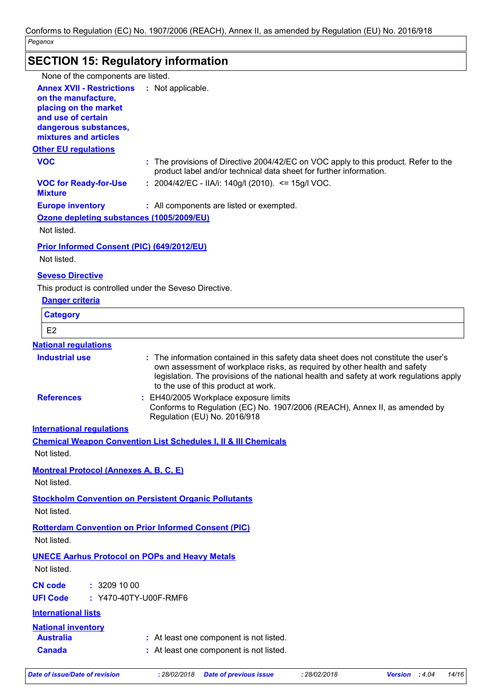## **SECTION 15: Regulatory information**

| None of the components are listed.<br><b>Annex XVII - Restrictions</b><br>: Not applicable.<br>on the manufacture,<br>placing on the market<br>and use of certain                      |                                                                                                                                                                                                                                                              |
|----------------------------------------------------------------------------------------------------------------------------------------------------------------------------------------|--------------------------------------------------------------------------------------------------------------------------------------------------------------------------------------------------------------------------------------------------------------|
|                                                                                                                                                                                        |                                                                                                                                                                                                                                                              |
|                                                                                                                                                                                        |                                                                                                                                                                                                                                                              |
|                                                                                                                                                                                        |                                                                                                                                                                                                                                                              |
|                                                                                                                                                                                        |                                                                                                                                                                                                                                                              |
| dangerous substances,                                                                                                                                                                  |                                                                                                                                                                                                                                                              |
| mixtures and articles                                                                                                                                                                  |                                                                                                                                                                                                                                                              |
| <b>Other EU regulations</b>                                                                                                                                                            |                                                                                                                                                                                                                                                              |
| <b>VOC</b><br>product label and/or technical data sheet for further information.                                                                                                       | : The provisions of Directive 2004/42/EC on VOC apply to this product. Refer to the                                                                                                                                                                          |
| : $2004/42/EC - ILA/i$ : 140g/l (2010). <= 15g/l VOC.<br><b>VOC for Ready-for-Use</b><br><b>Mixture</b>                                                                                |                                                                                                                                                                                                                                                              |
| <b>Europe inventory</b><br>: All components are listed or exempted.                                                                                                                    |                                                                                                                                                                                                                                                              |
| Ozone depleting substances (1005/2009/EU)                                                                                                                                              |                                                                                                                                                                                                                                                              |
| Not listed.                                                                                                                                                                            |                                                                                                                                                                                                                                                              |
| <b>Prior Informed Consent (PIC) (649/2012/EU)</b>                                                                                                                                      |                                                                                                                                                                                                                                                              |
| Not listed.                                                                                                                                                                            |                                                                                                                                                                                                                                                              |
| <b>Seveso Directive</b>                                                                                                                                                                |                                                                                                                                                                                                                                                              |
| This product is controlled under the Seveso Directive.                                                                                                                                 |                                                                                                                                                                                                                                                              |
| <b>Danger criteria</b>                                                                                                                                                                 |                                                                                                                                                                                                                                                              |
| <b>Category</b>                                                                                                                                                                        |                                                                                                                                                                                                                                                              |
|                                                                                                                                                                                        |                                                                                                                                                                                                                                                              |
| E <sub>2</sub>                                                                                                                                                                         |                                                                                                                                                                                                                                                              |
| <b>National regulations</b>                                                                                                                                                            |                                                                                                                                                                                                                                                              |
| <b>Industrial use</b><br>to the use of this product at work.                                                                                                                           | : The information contained in this safety data sheet does not constitute the user's<br>own assessment of workplace risks, as required by other health and safety<br>legislation. The provisions of the national health and safety at work regulations apply |
| <b>References</b><br>: EH40/2005 Workplace exposure limits<br>Regulation (EU) No. 2016/918                                                                                             | Conforms to Regulation (EC) No. 1907/2006 (REACH), Annex II, as amended by                                                                                                                                                                                   |
| <b>International regulations</b>                                                                                                                                                       |                                                                                                                                                                                                                                                              |
| <b>Chemical Weapon Convention List Schedules I, II &amp; III Chemicals</b>                                                                                                             |                                                                                                                                                                                                                                                              |
| Not listed.                                                                                                                                                                            |                                                                                                                                                                                                                                                              |
| <b>Montreal Protocol (Annexes A, B, C, E)</b>                                                                                                                                          |                                                                                                                                                                                                                                                              |
| Not listed.                                                                                                                                                                            |                                                                                                                                                                                                                                                              |
|                                                                                                                                                                                        |                                                                                                                                                                                                                                                              |
| <b>Stockholm Convention on Persistent Organic Pollutants</b><br>Not listed.                                                                                                            |                                                                                                                                                                                                                                                              |
| <b>Rotterdam Convention on Prior Informed Consent (PIC)</b>                                                                                                                            |                                                                                                                                                                                                                                                              |
| Not listed.                                                                                                                                                                            |                                                                                                                                                                                                                                                              |
|                                                                                                                                                                                        |                                                                                                                                                                                                                                                              |
|                                                                                                                                                                                        |                                                                                                                                                                                                                                                              |
| Not listed.                                                                                                                                                                            |                                                                                                                                                                                                                                                              |
| : 3209100                                                                                                                                                                              |                                                                                                                                                                                                                                                              |
| : Y470-40TY-U00F-RMF6                                                                                                                                                                  |                                                                                                                                                                                                                                                              |
|                                                                                                                                                                                        |                                                                                                                                                                                                                                                              |
| <b>International lists</b>                                                                                                                                                             |                                                                                                                                                                                                                                                              |
| <b>UNECE Aarhus Protocol on POPs and Heavy Metals</b><br><b>CN code</b><br><b>UFI Code</b><br><b>National inventory</b><br><b>Australia</b><br>: At least one component is not listed. |                                                                                                                                                                                                                                                              |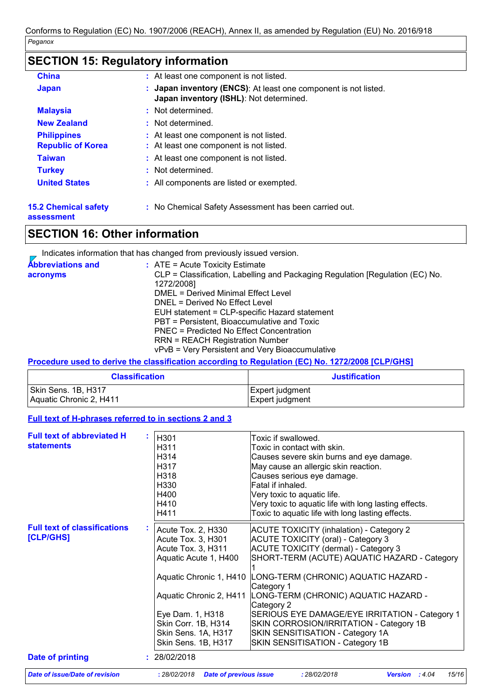### **SECTION 15: Regulatory information**

| <b>China</b>                                   | : At least one component is not listed.                                                                               |
|------------------------------------------------|-----------------------------------------------------------------------------------------------------------------------|
| <b>Japan</b>                                   | <b>Japan inventory (ENCS):</b> At least one component is not listed.<br>÷.<br>Japan inventory (ISHL): Not determined. |
| <b>Malaysia</b>                                | : Not determined.                                                                                                     |
| <b>New Zealand</b>                             | : Not determined.                                                                                                     |
| <b>Philippines</b><br><b>Republic of Korea</b> | : At least one component is not listed.<br>: At least one component is not listed.                                    |
| <b>Taiwan</b>                                  | : At least one component is not listed.                                                                               |
| <b>Turkey</b>                                  | : Not determined.                                                                                                     |
| <b>United States</b>                           | : All components are listed or exempted.                                                                              |
|                                                |                                                                                                                       |

## **15.2 Chemical safety**

**:** No Chemical Safety Assessment has been carried out.

**assessment**

### **SECTION 16: Other information**

Indicates information that has changed from previously issued version.

| <b>Abbreviations and</b><br>acronyms | $:$ ATE = Acute Toxicity Estimate<br>CLP = Classification, Labelling and Packaging Regulation [Regulation (EC) No.<br>1272/2008]<br>DMEL = Derived Minimal Effect Level<br>DNEL = Derived No Effect Level<br>EUH statement = CLP-specific Hazard statement<br>PBT = Persistent, Bioaccumulative and Toxic<br>PNEC = Predicted No Effect Concentration |
|--------------------------------------|-------------------------------------------------------------------------------------------------------------------------------------------------------------------------------------------------------------------------------------------------------------------------------------------------------------------------------------------------------|
|                                      | <b>RRN = REACH Registration Number</b><br>vPvB = Very Persistent and Very Bioaccumulative                                                                                                                                                                                                                                                             |

#### **Procedure used to derive the classification according to Regulation (EC) No. 1272/2008 [CLP/GHS]**

| <b>Classification</b>   | <b>Justification</b> |
|-------------------------|----------------------|
| Skin Sens. 1B, H317     | Expert judgment      |
| Aquatic Chronic 2, H411 | Expert judgment      |

#### **Full text of H-phrases referred to in sections 2 and 3**

| <b>Full text of abbreviated H</b>   | H301                                          | Toxic if swallowed.                                   |
|-------------------------------------|-----------------------------------------------|-------------------------------------------------------|
| <b>statements</b>                   | H311                                          | Toxic in contact with skin.                           |
|                                     | H314                                          | Causes severe skin burns and eye damage.              |
|                                     | H317                                          | May cause an allergic skin reaction.                  |
|                                     | H318                                          | Causes serious eye damage.                            |
|                                     | H330                                          | Fatal if inhaled.                                     |
|                                     | H400                                          |                                                       |
|                                     |                                               | Very toxic to aquatic life.                           |
|                                     | H410                                          | Very toxic to aquatic life with long lasting effects. |
|                                     | H411                                          | Toxic to aquatic life with long lasting effects.      |
| <b>Full text of classifications</b> | Acute Tox. 2, H330                            | <b>ACUTE TOXICITY (inhalation) - Category 2</b>       |
| [CLP/GHS]                           | Acute Tox. 3, H301                            | <b>ACUTE TOXICITY (oral) - Category 3</b>             |
|                                     | Acute Tox. 3, H311                            | ACUTE TOXICITY (dermal) - Category 3                  |
|                                     | Aquatic Acute 1, H400                         | SHORT-TERM (ACUTE) AQUATIC HAZARD - Category          |
|                                     |                                               |                                                       |
|                                     | Aquatic Chronic 1, H410                       | LONG-TERM (CHRONIC) AQUATIC HAZARD -                  |
|                                     |                                               | Category 1                                            |
|                                     | Aquatic Chronic 2, H411                       | LONG-TERM (CHRONIC) AQUATIC HAZARD -                  |
|                                     |                                               | Category 2                                            |
|                                     | Eye Dam. 1, H318                              | SERIOUS EYE DAMAGE/EYE IRRITATION - Category 1        |
|                                     | Skin Corr. 1B, H314                           | SKIN CORROSION/IRRITATION - Category 1B               |
|                                     | Skin Sens. 1A, H317                           | SKIN SENSITISATION - Category 1A                      |
|                                     | Skin Sens. 1B, H317                           | SKIN SENSITISATION - Category 1B                      |
| Date of printing                    | : 28/02/2018                                  |                                                       |
| Date of issue/Date of revision      | <b>Date of previous issue</b><br>: 28/02/2018 | 15/16<br>: 28/02/2018<br><b>Version</b> : $4.04$      |